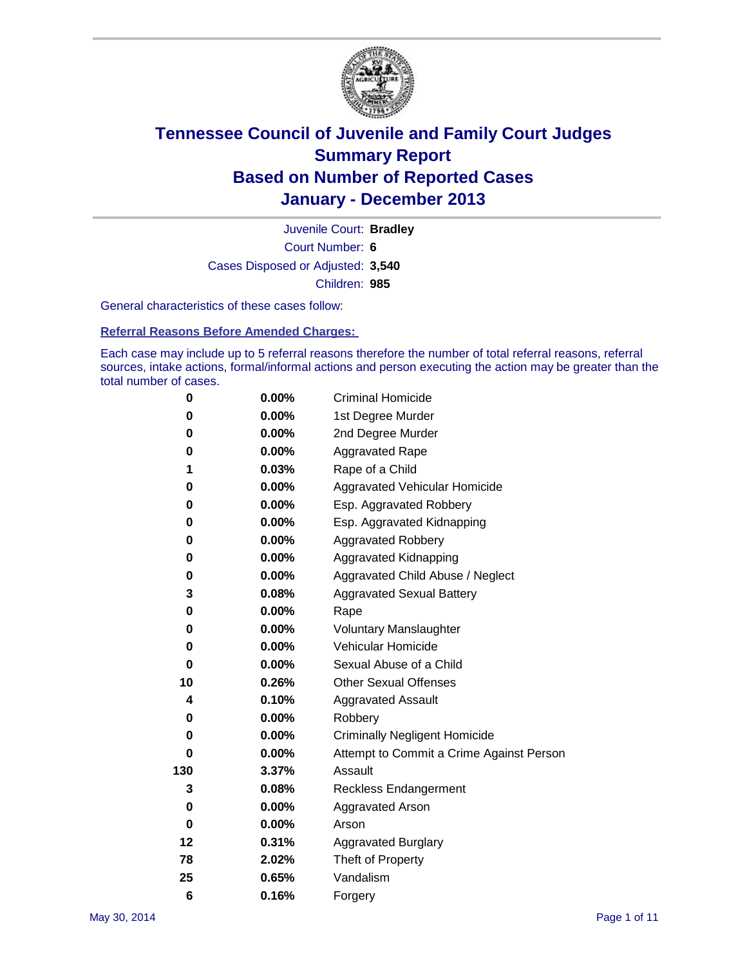

Court Number: **6** Juvenile Court: **Bradley** Cases Disposed or Adjusted: **3,540** Children: **985**

General characteristics of these cases follow:

**Referral Reasons Before Amended Charges:** 

Each case may include up to 5 referral reasons therefore the number of total referral reasons, referral sources, intake actions, formal/informal actions and person executing the action may be greater than the total number of cases.

| 0   | $0.00\%$ | <b>Criminal Homicide</b>                 |
|-----|----------|------------------------------------------|
| 0   | 0.00%    | 1st Degree Murder                        |
| 0   | 0.00%    | 2nd Degree Murder                        |
| 0   | $0.00\%$ | <b>Aggravated Rape</b>                   |
| 1   | 0.03%    | Rape of a Child                          |
| 0   | 0.00%    | <b>Aggravated Vehicular Homicide</b>     |
| 0   | $0.00\%$ | Esp. Aggravated Robbery                  |
| 0   | 0.00%    | Esp. Aggravated Kidnapping               |
| 0   | 0.00%    | <b>Aggravated Robbery</b>                |
| 0   | 0.00%    | Aggravated Kidnapping                    |
| 0   | 0.00%    | Aggravated Child Abuse / Neglect         |
| 3   | 0.08%    | <b>Aggravated Sexual Battery</b>         |
| 0   | 0.00%    | Rape                                     |
| 0   | 0.00%    | <b>Voluntary Manslaughter</b>            |
| 0   | $0.00\%$ | <b>Vehicular Homicide</b>                |
| 0   | 0.00%    | Sexual Abuse of a Child                  |
| 10  | 0.26%    | <b>Other Sexual Offenses</b>             |
| 4   | 0.10%    | <b>Aggravated Assault</b>                |
| 0   | 0.00%    | Robbery                                  |
| 0   | 0.00%    | <b>Criminally Negligent Homicide</b>     |
| 0   | 0.00%    | Attempt to Commit a Crime Against Person |
| 130 | 3.37%    | Assault                                  |
| 3   | 0.08%    | <b>Reckless Endangerment</b>             |
| 0   | $0.00\%$ | <b>Aggravated Arson</b>                  |
| 0   | $0.00\%$ | Arson                                    |
| 12  | 0.31%    | <b>Aggravated Burglary</b>               |
| 78  | 2.02%    | Theft of Property                        |
| 25  | 0.65%    | Vandalism                                |
| 6   | 0.16%    | Forgery                                  |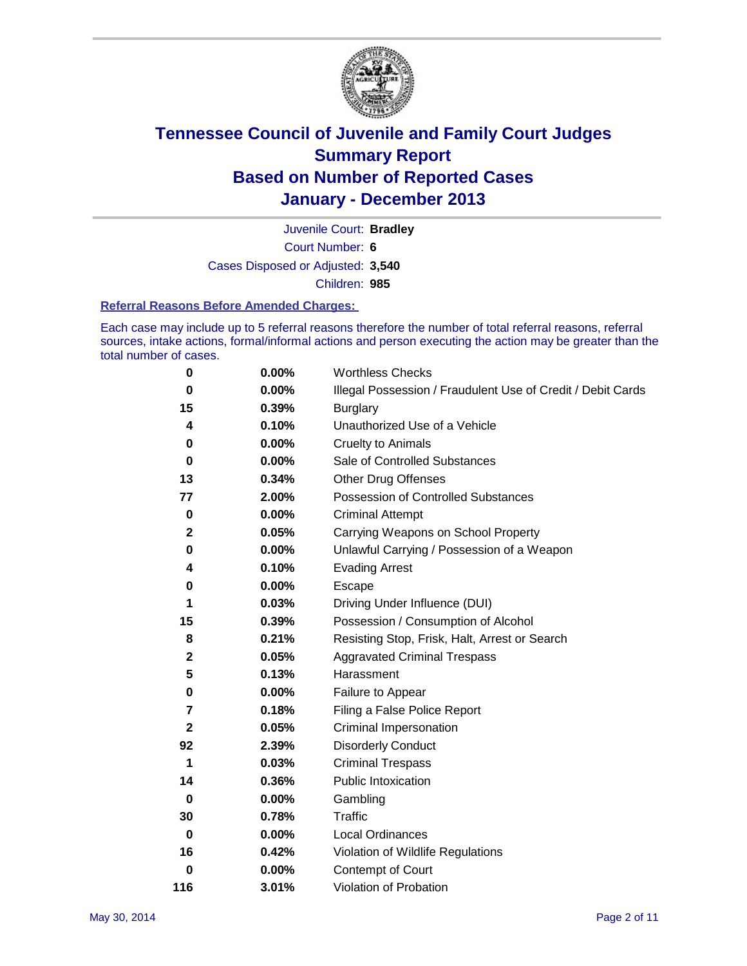

Court Number: **6** Juvenile Court: **Bradley** Cases Disposed or Adjusted: **3,540** Children: **985**

#### **Referral Reasons Before Amended Charges:**

Each case may include up to 5 referral reasons therefore the number of total referral reasons, referral sources, intake actions, formal/informal actions and person executing the action may be greater than the total number of cases.

| 0           | 0.00%    | <b>Worthless Checks</b>                                     |
|-------------|----------|-------------------------------------------------------------|
| 0           | 0.00%    | Illegal Possession / Fraudulent Use of Credit / Debit Cards |
| 15          | 0.39%    | <b>Burglary</b>                                             |
| 4           | 0.10%    | Unauthorized Use of a Vehicle                               |
| 0           | 0.00%    | <b>Cruelty to Animals</b>                                   |
| $\bf{0}$    | 0.00%    | Sale of Controlled Substances                               |
| 13          | 0.34%    | <b>Other Drug Offenses</b>                                  |
| 77          | 2.00%    | Possession of Controlled Substances                         |
| $\pmb{0}$   | $0.00\%$ | <b>Criminal Attempt</b>                                     |
| $\mathbf 2$ | 0.05%    | Carrying Weapons on School Property                         |
| $\pmb{0}$   | 0.00%    | Unlawful Carrying / Possession of a Weapon                  |
| 4           | 0.10%    | <b>Evading Arrest</b>                                       |
| 0           | 0.00%    | Escape                                                      |
| 1           | 0.03%    | Driving Under Influence (DUI)                               |
| 15          | 0.39%    | Possession / Consumption of Alcohol                         |
| 8           | 0.21%    | Resisting Stop, Frisk, Halt, Arrest or Search               |
| $\mathbf 2$ | 0.05%    | <b>Aggravated Criminal Trespass</b>                         |
| 5           | 0.13%    | Harassment                                                  |
| 0           | 0.00%    | Failure to Appear                                           |
| 7           | 0.18%    | Filing a False Police Report                                |
| $\mathbf 2$ | 0.05%    | Criminal Impersonation                                      |
| 92          | 2.39%    | <b>Disorderly Conduct</b>                                   |
| 1           | 0.03%    | <b>Criminal Trespass</b>                                    |
| 14          | 0.36%    | <b>Public Intoxication</b>                                  |
| $\bf{0}$    | 0.00%    | Gambling                                                    |
| 30          | 0.78%    | <b>Traffic</b>                                              |
| $\bf{0}$    | $0.00\%$ | <b>Local Ordinances</b>                                     |
| 16          | 0.42%    | Violation of Wildlife Regulations                           |
| 0           | $0.00\%$ | Contempt of Court                                           |
| 116         | 3.01%    | Violation of Probation                                      |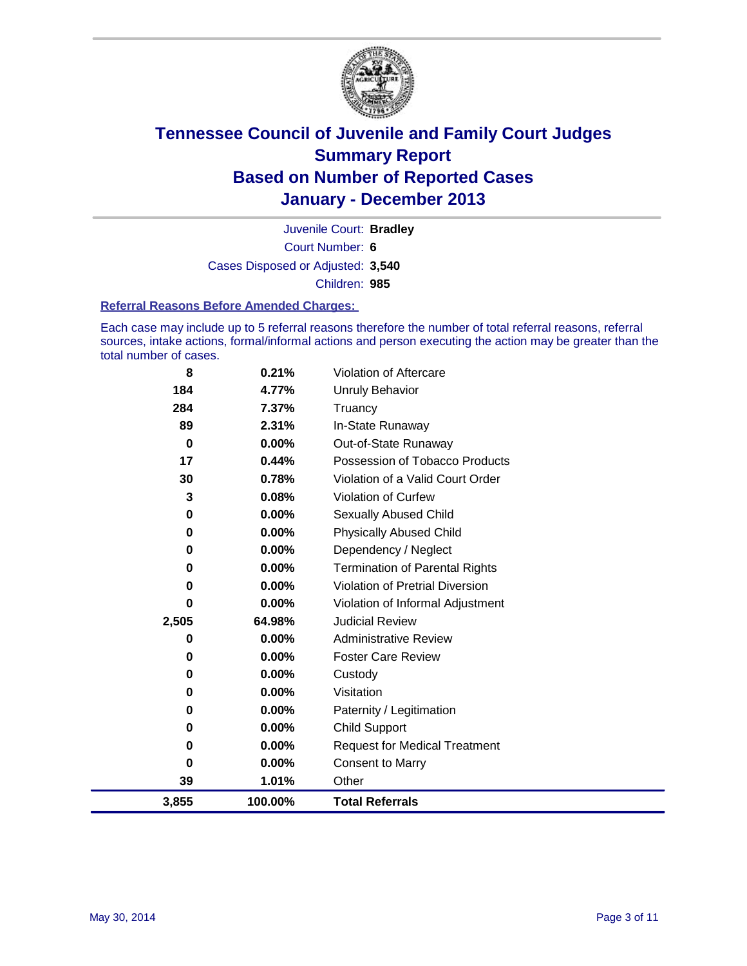

Court Number: **6** Juvenile Court: **Bradley** Cases Disposed or Adjusted: **3,540** Children: **985**

#### **Referral Reasons Before Amended Charges:**

Each case may include up to 5 referral reasons therefore the number of total referral reasons, referral sources, intake actions, formal/informal actions and person executing the action may be greater than the total number of cases.

| 3,855    | 100.00%  | <b>Total Referrals</b>                 |
|----------|----------|----------------------------------------|
| 39       | 1.01%    | Other                                  |
| 0        | 0.00%    | <b>Consent to Marry</b>                |
| 0        | 0.00%    | <b>Request for Medical Treatment</b>   |
| 0        | 0.00%    | Child Support                          |
| 0        | 0.00%    | Paternity / Legitimation               |
| 0        | 0.00%    | Visitation                             |
| 0        | 0.00%    | Custody                                |
| 0        | 0.00%    | <b>Foster Care Review</b>              |
| 0        | 0.00%    | <b>Administrative Review</b>           |
| 2,505    | 64.98%   | <b>Judicial Review</b>                 |
| 0        | 0.00%    | Violation of Informal Adjustment       |
| 0        | $0.00\%$ | <b>Violation of Pretrial Diversion</b> |
| 0        | 0.00%    | <b>Termination of Parental Rights</b>  |
| 0        | 0.00%    | Dependency / Neglect                   |
| 0        | $0.00\%$ | <b>Physically Abused Child</b>         |
| 0        | 0.00%    | Sexually Abused Child                  |
| 3        | 0.08%    | Violation of Curfew                    |
| 30       | 0.78%    | Violation of a Valid Court Order       |
| 17       | 0.44%    | Possession of Tobacco Products         |
| $\bf{0}$ | 0.00%    | Out-of-State Runaway                   |
| 89       | 2.31%    | In-State Runaway                       |
| 284      | 7.37%    | Truancy                                |
| 184      | 4.77%    | <b>Unruly Behavior</b>                 |
| 8        | 0.21%    | Violation of Aftercare                 |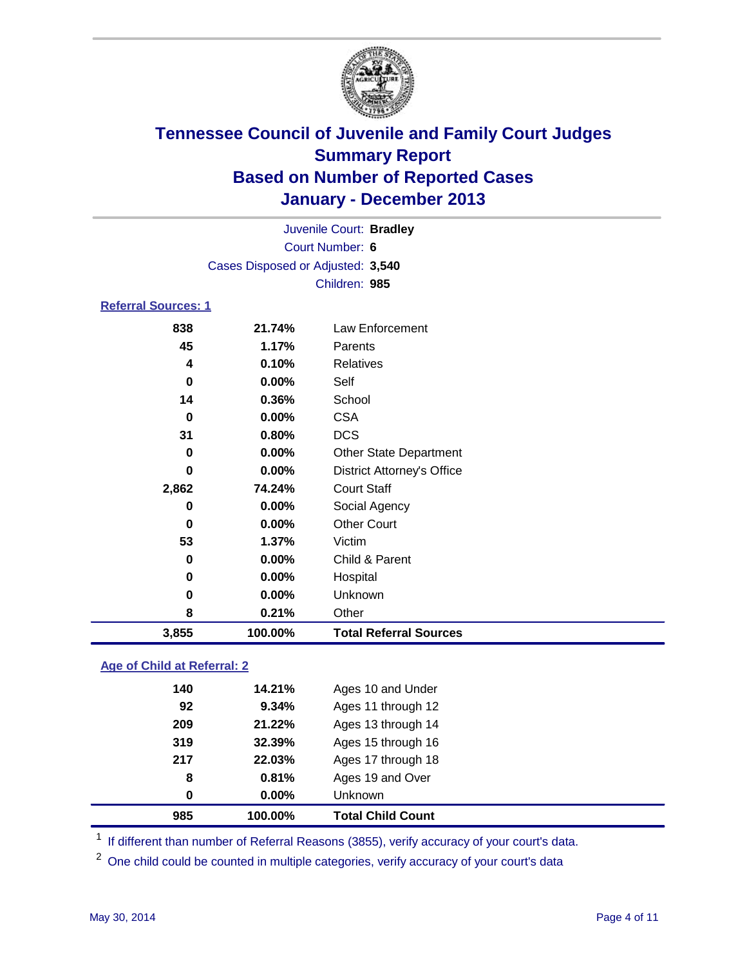

|                            |                                   | Juvenile Court: Bradley           |
|----------------------------|-----------------------------------|-----------------------------------|
|                            |                                   | Court Number: 6                   |
|                            | Cases Disposed or Adjusted: 3,540 |                                   |
|                            |                                   | Children: 985                     |
| <b>Referral Sources: 1</b> |                                   |                                   |
| 838                        | 21.74%                            | Law Enforcement                   |
| 45                         | 1.17%                             | Parents                           |
| 4                          | 0.10%                             | <b>Relatives</b>                  |
| 0                          | $0.00\%$                          | Self                              |
| 14                         | $0.36\%$                          | School                            |
| 0                          | $0.00\%$                          | <b>CSA</b>                        |
| 31                         | 0.80%                             | <b>DCS</b>                        |
| 0                          | $0.00\%$                          | <b>Other State Department</b>     |
| 0                          | $0.00\%$                          | <b>District Attorney's Office</b> |

| 3,855 | 100.00% | <b>Total Referral Sources</b> |  |
|-------|---------|-------------------------------|--|
| 8     | 0.21%   | Other                         |  |
| 0     | 0.00%   | <b>Unknown</b>                |  |
| 0     | 0.00%   | Hospital                      |  |
| 0     | 0.00%   | Child & Parent                |  |
| 53    | 1.37%   | Victim                        |  |
| 0     | 0.00%   | <b>Other Court</b>            |  |
| 0     | 0.00%   | Social Agency                 |  |
| 2,862 | 74.24%  | <b>Court Staff</b>            |  |
|       |         |                               |  |

### **Age of Child at Referral: 2**

| 985 | 100.00%  | <b>Total Child Count</b> |
|-----|----------|--------------------------|
| 0   | $0.00\%$ | <b>Unknown</b>           |
| 8   | 0.81%    | Ages 19 and Over         |
| 217 | 22.03%   | Ages 17 through 18       |
| 319 | 32.39%   | Ages 15 through 16       |
| 209 | 21.22%   | Ages 13 through 14       |
| 92  | 9.34%    | Ages 11 through 12       |
| 140 | 14.21%   | Ages 10 and Under        |
|     |          |                          |

<sup>1</sup> If different than number of Referral Reasons (3855), verify accuracy of your court's data.

<sup>2</sup> One child could be counted in multiple categories, verify accuracy of your court's data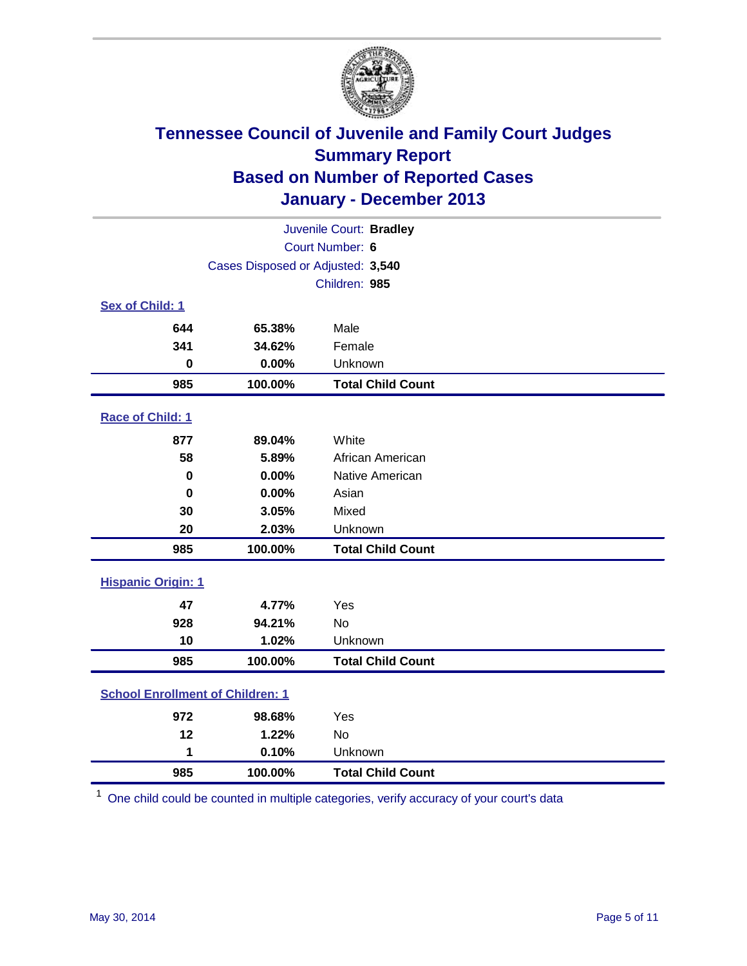

|                                         |                                   | Juvenile Court: Bradley  |
|-----------------------------------------|-----------------------------------|--------------------------|
|                                         |                                   | Court Number: 6          |
|                                         | Cases Disposed or Adjusted: 3,540 |                          |
|                                         |                                   | Children: 985            |
| Sex of Child: 1                         |                                   |                          |
| 644                                     | 65.38%                            | Male                     |
| 341                                     | 34.62%                            | Female                   |
| $\bf{0}$                                | 0.00%                             | Unknown                  |
| 985                                     | 100.00%                           | <b>Total Child Count</b> |
| Race of Child: 1                        |                                   |                          |
| 877                                     | 89.04%                            | White                    |
| 58                                      | 5.89%                             | African American         |
| $\bf{0}$                                | 0.00%                             | Native American          |
| 0                                       | 0.00%                             | Asian                    |
| 30                                      | 3.05%                             | Mixed                    |
| 20                                      | 2.03%                             | Unknown                  |
| 985                                     | 100.00%                           | <b>Total Child Count</b> |
| <b>Hispanic Origin: 1</b>               |                                   |                          |
| 47                                      | 4.77%                             | Yes                      |
| 928                                     | 94.21%                            | No                       |
| 10                                      | 1.02%                             | Unknown                  |
| 985                                     | 100.00%                           | <b>Total Child Count</b> |
| <b>School Enrollment of Children: 1</b> |                                   |                          |
| 972                                     | 98.68%                            | Yes                      |
| 12                                      | 1.22%                             | <b>No</b>                |
| 1                                       | 0.10%                             | Unknown                  |
| 985                                     | 100.00%                           | <b>Total Child Count</b> |

One child could be counted in multiple categories, verify accuracy of your court's data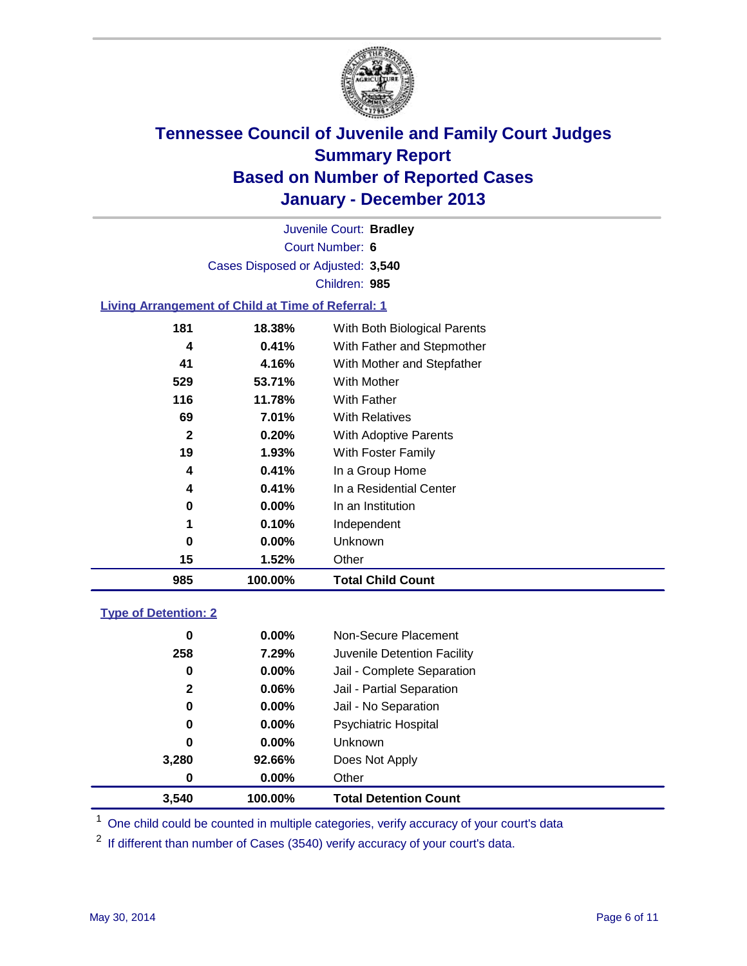

Court Number: **6** Juvenile Court: **Bradley** Cases Disposed or Adjusted: **3,540** Children: **985**

### **Living Arrangement of Child at Time of Referral: 1**

| 985          | 100.00%  | <b>Total Child Count</b>     |  |
|--------------|----------|------------------------------|--|
| 15           | 1.52%    | Other                        |  |
| 0            | $0.00\%$ | Unknown                      |  |
| 1            | 0.10%    | Independent                  |  |
| 0            | $0.00\%$ | In an Institution            |  |
| 4            | 0.41%    | In a Residential Center      |  |
| 4            | 0.41%    | In a Group Home              |  |
| 19           | $1.93\%$ | With Foster Family           |  |
| $\mathbf{2}$ | 0.20%    | With Adoptive Parents        |  |
| 69           | 7.01%    | <b>With Relatives</b>        |  |
| 116          | 11.78%   | With Father                  |  |
| 529          | 53.71%   | With Mother                  |  |
| 41           | 4.16%    | With Mother and Stepfather   |  |
| 4            | 0.41%    | With Father and Stepmother   |  |
| 181          | 18.38%   | With Both Biological Parents |  |
|              |          |                              |  |

#### **Type of Detention: 2**

| 3,540 | 100.00%  | <b>Total Detention Count</b> |  |
|-------|----------|------------------------------|--|
| 0     | 0.00%    | Other                        |  |
| 3,280 | 92.66%   | Does Not Apply               |  |
| 0     | $0.00\%$ | <b>Unknown</b>               |  |
| 0     | $0.00\%$ | <b>Psychiatric Hospital</b>  |  |
| 0     | 0.00%    | Jail - No Separation         |  |
| 2     | 0.06%    | Jail - Partial Separation    |  |
| 0     | 0.00%    | Jail - Complete Separation   |  |
| 258   | 7.29%    | Juvenile Detention Facility  |  |
| 0     | $0.00\%$ | Non-Secure Placement         |  |
|       |          |                              |  |

<sup>1</sup> One child could be counted in multiple categories, verify accuracy of your court's data

<sup>2</sup> If different than number of Cases (3540) verify accuracy of your court's data.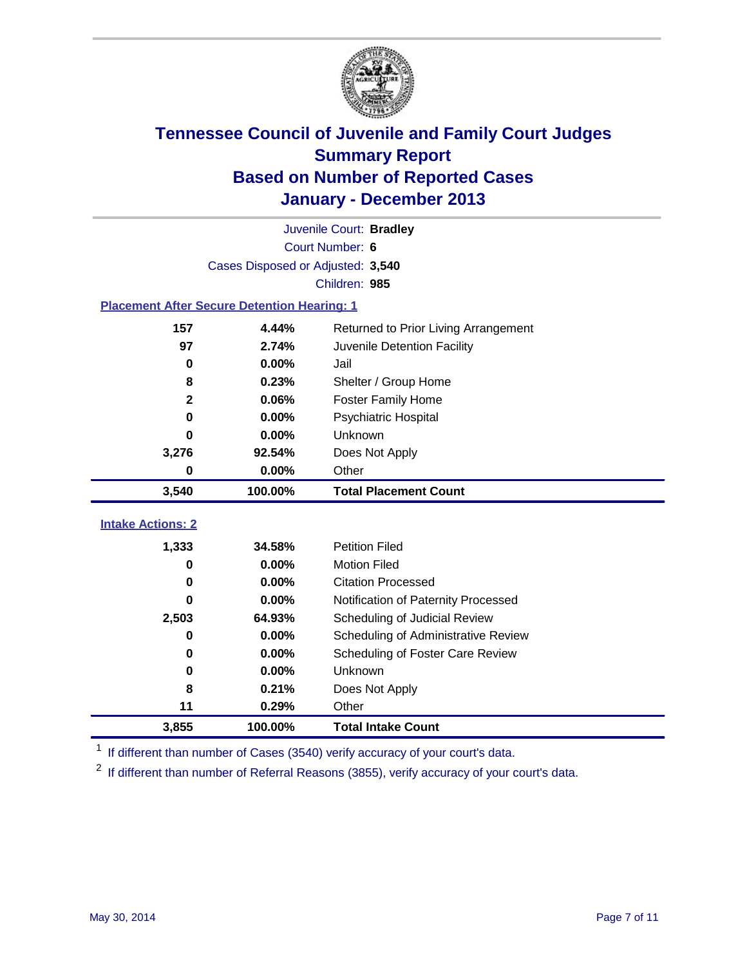

|                                                    |                                   | Juvenile Court: Bradley              |
|----------------------------------------------------|-----------------------------------|--------------------------------------|
|                                                    |                                   | Court Number: 6                      |
|                                                    | Cases Disposed or Adjusted: 3,540 |                                      |
|                                                    |                                   | Children: 985                        |
| <b>Placement After Secure Detention Hearing: 1</b> |                                   |                                      |
| 157                                                | 4.44%                             | Returned to Prior Living Arrangement |
| 97                                                 | 2.74%                             | Juvenile Detention Facility          |
| $\bf{0}$                                           | 0.00%                             | Jail                                 |
| 8                                                  | 0.23%                             | Shelter / Group Home                 |
| $\overline{\mathbf{2}}$                            | 0.06%                             | <b>Foster Family Home</b>            |
| $\bf{0}$                                           | 0.00%                             | Psychiatric Hospital                 |
| 0                                                  | 0.00%                             | Unknown                              |
| 3,276                                              | 92.54%                            | Does Not Apply                       |
| $\bf{0}$                                           | 0.00%                             | Other                                |
| 3,540                                              | 100.00%                           | <b>Total Placement Count</b>         |
| <b>Intake Actions: 2</b>                           |                                   |                                      |
|                                                    |                                   |                                      |
| 1,333                                              | 34.58%                            | <b>Petition Filed</b>                |
| 0                                                  | 0.00%                             | <b>Motion Filed</b>                  |
| 0                                                  | 0.00%                             | <b>Citation Processed</b>            |
| U                                                  | 0.00%                             | Notification of Paternity Processed  |
| 2,503                                              | 64.93%                            | Scheduling of Judicial Review        |
| $\bf{0}$                                           | 0.00%                             | Scheduling of Administrative Review  |
| 0                                                  | 0.00%                             | Scheduling of Foster Care Review     |
| $\bf{0}$                                           | 0.00%                             | Unknown                              |
| 8                                                  | 0.21%                             | Does Not Apply                       |
| 11                                                 | 0.29%                             | Other                                |
| 3,855                                              | 100.00%                           | <b>Total Intake Count</b>            |

<sup>1</sup> If different than number of Cases (3540) verify accuracy of your court's data.

 $2$  If different than number of Referral Reasons (3855), verify accuracy of your court's data.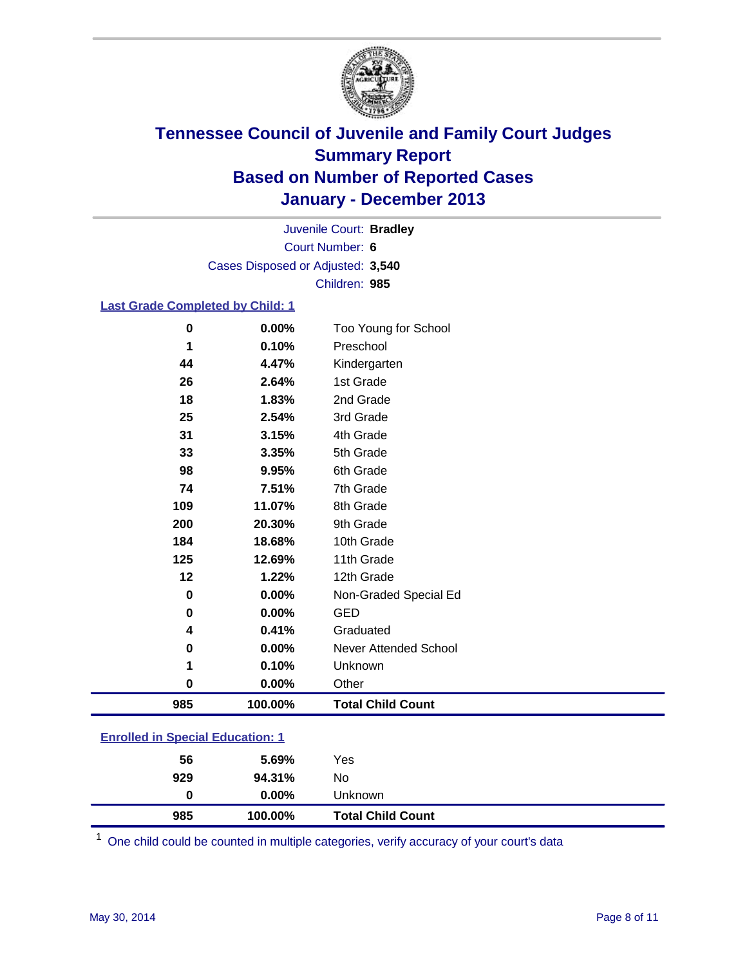

Court Number: **6** Juvenile Court: **Bradley** Cases Disposed or Adjusted: **3,540** Children: **985**

### **Last Grade Completed by Child: 1**

| 985 | 100.00% | <b>Total Child Count</b> |
|-----|---------|--------------------------|
| 0   | 0.00%   | Other                    |
| 1   | 0.10%   | Unknown                  |
| 0   | 0.00%   | Never Attended School    |
| 4   | 0.41%   | Graduated                |
| 0   | 0.00%   | <b>GED</b>               |
| 0   | 0.00%   | Non-Graded Special Ed    |
| 12  | 1.22%   | 12th Grade               |
| 125 | 12.69%  | 11th Grade               |
| 184 | 18.68%  | 10th Grade               |
| 200 | 20.30%  | 9th Grade                |
| 109 | 11.07%  | 8th Grade                |
| 74  | 7.51%   | 7th Grade                |
| 98  | 9.95%   | 6th Grade                |
| 33  | 3.35%   | 5th Grade                |
| 31  | 3.15%   | 4th Grade                |
| 25  | 2.54%   | 3rd Grade                |
| 18  | 1.83%   | 2nd Grade                |
| 26  | 2.64%   | 1st Grade                |
| 44  | 4.47%   | Kindergarten             |
| 1   | 0.10%   | Preschool                |
| 0   | 0.00%   | Too Young for School     |

| <b>Enrolled in Special Education: 1</b> |  |
|-----------------------------------------|--|
|                                         |  |

| 985 | 100.00%  | <b>Total Child Count</b> |  |
|-----|----------|--------------------------|--|
| 0   | $0.00\%$ | <b>Unknown</b>           |  |
| 929 | 94.31%   | No                       |  |
| 56  | 5.69%    | Yes                      |  |
|     |          |                          |  |

One child could be counted in multiple categories, verify accuracy of your court's data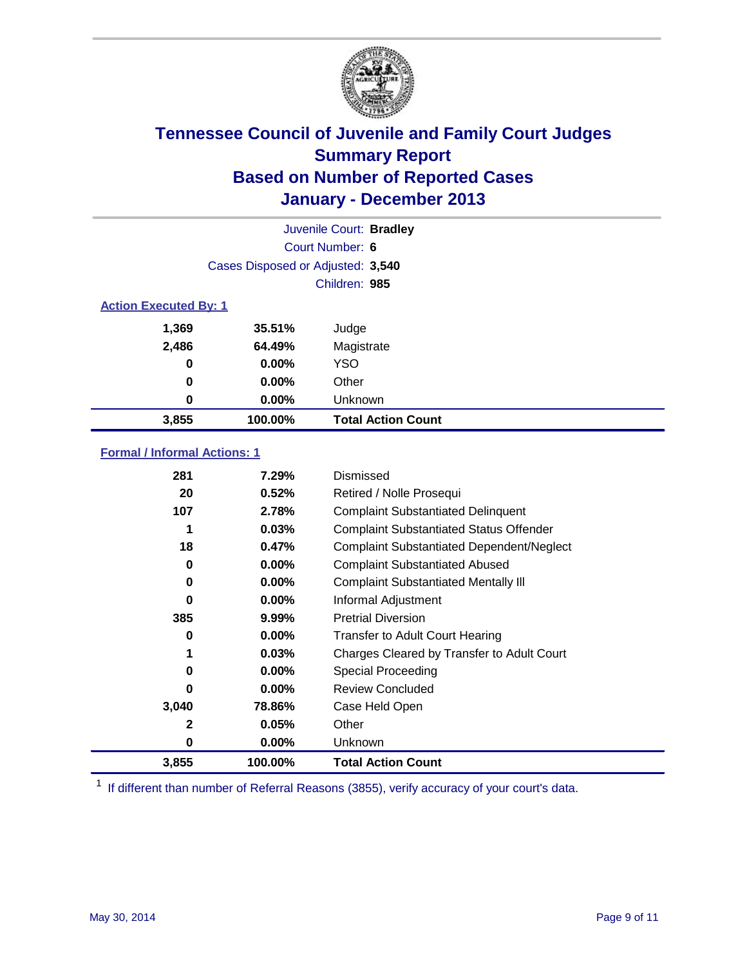

|                              |                                   | Juvenile Court: Bradley   |
|------------------------------|-----------------------------------|---------------------------|
|                              |                                   | Court Number: 6           |
|                              | Cases Disposed or Adjusted: 3,540 |                           |
|                              |                                   | Children: 985             |
| <b>Action Executed By: 1</b> |                                   |                           |
| 1,369                        | 35.51%                            | Judge                     |
| 2,486                        | 64.49%                            | Magistrate                |
| 0                            | $0.00\%$                          | <b>YSO</b>                |
| 0                            | $0.00\%$                          | Other                     |
| 0                            | 0.00%                             | Unknown                   |
| 3,855                        | 100.00%                           | <b>Total Action Count</b> |

### **Formal / Informal Actions: 1**

| 281   | 7.29%    | Dismissed                                        |
|-------|----------|--------------------------------------------------|
| 20    | 0.52%    | Retired / Nolle Prosequi                         |
| 107   | 2.78%    | <b>Complaint Substantiated Delinquent</b>        |
|       | 0.03%    | <b>Complaint Substantiated Status Offender</b>   |
| 18    | 0.47%    | <b>Complaint Substantiated Dependent/Neglect</b> |
| 0     | $0.00\%$ | <b>Complaint Substantiated Abused</b>            |
| 0     | $0.00\%$ | <b>Complaint Substantiated Mentally III</b>      |
| 0     | $0.00\%$ | Informal Adjustment                              |
| 385   | $9.99\%$ | <b>Pretrial Diversion</b>                        |
| 0     | 0.00%    | <b>Transfer to Adult Court Hearing</b>           |
|       | 0.03%    | Charges Cleared by Transfer to Adult Court       |
| 0     | $0.00\%$ | <b>Special Proceeding</b>                        |
| 0     | $0.00\%$ | <b>Review Concluded</b>                          |
| 3,040 | 78.86%   | Case Held Open                                   |
| 2     | 0.05%    | Other                                            |
| 0     | $0.00\%$ | <b>Unknown</b>                                   |
| 3,855 | 100.00%  | <b>Total Action Count</b>                        |

<sup>1</sup> If different than number of Referral Reasons (3855), verify accuracy of your court's data.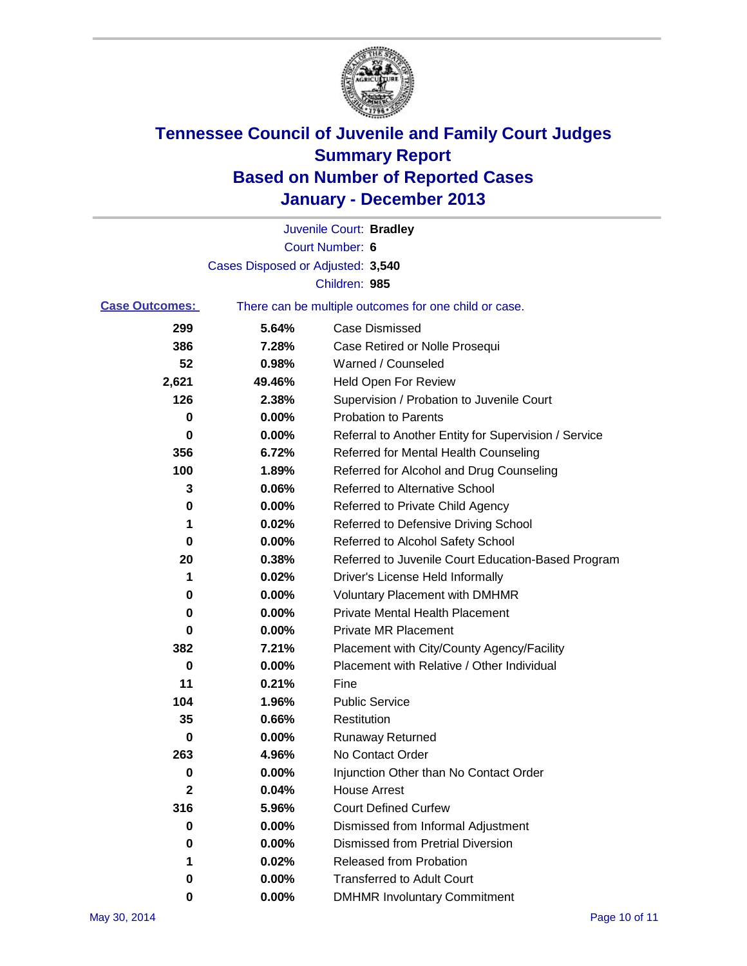

|                       |                                   | Juvenile Court: Bradley                               |
|-----------------------|-----------------------------------|-------------------------------------------------------|
|                       |                                   | Court Number: 6                                       |
|                       | Cases Disposed or Adjusted: 3,540 |                                                       |
|                       |                                   | Children: 985                                         |
| <b>Case Outcomes:</b> |                                   | There can be multiple outcomes for one child or case. |
| 299                   | 5.64%                             | <b>Case Dismissed</b>                                 |
| 386                   | 7.28%                             | Case Retired or Nolle Prosequi                        |
| 52                    | 0.98%                             | Warned / Counseled                                    |
| 2,621                 | 49.46%                            | Held Open For Review                                  |
| 126                   | 2.38%                             | Supervision / Probation to Juvenile Court             |
| 0                     | 0.00%                             | <b>Probation to Parents</b>                           |
| 0                     | 0.00%                             | Referral to Another Entity for Supervision / Service  |
| 356                   | 6.72%                             | Referred for Mental Health Counseling                 |
| 100                   | 1.89%                             | Referred for Alcohol and Drug Counseling              |
| 3                     | 0.06%                             | Referred to Alternative School                        |
| 0                     | 0.00%                             | Referred to Private Child Agency                      |
| 1                     | 0.02%                             | Referred to Defensive Driving School                  |
| 0                     | 0.00%                             | Referred to Alcohol Safety School                     |
| 20                    | 0.38%                             | Referred to Juvenile Court Education-Based Program    |
| 1                     | 0.02%                             | Driver's License Held Informally                      |
| 0                     | 0.00%                             | <b>Voluntary Placement with DMHMR</b>                 |
| 0                     | 0.00%                             | <b>Private Mental Health Placement</b>                |
| 0                     | 0.00%                             | <b>Private MR Placement</b>                           |
| 382                   | 7.21%                             | Placement with City/County Agency/Facility            |
| 0                     | 0.00%                             | Placement with Relative / Other Individual            |
| 11                    | 0.21%                             | Fine                                                  |
| 104                   | 1.96%                             | <b>Public Service</b>                                 |
| 35                    | 0.66%                             | Restitution                                           |
| 0                     | 0.00%                             | <b>Runaway Returned</b>                               |
| 263                   | 4.96%                             | No Contact Order                                      |
| 0                     | 0.00%                             | Injunction Other than No Contact Order                |
| 2                     | 0.04%                             | <b>House Arrest</b>                                   |
| 316                   | 5.96%                             | <b>Court Defined Curfew</b>                           |
| 0                     | 0.00%                             | Dismissed from Informal Adjustment                    |
| 0                     | 0.00%                             | <b>Dismissed from Pretrial Diversion</b>              |
| 1                     | 0.02%                             | Released from Probation                               |
| 0                     | 0.00%                             | <b>Transferred to Adult Court</b>                     |
| $\mathbf 0$           | $0.00\%$                          | <b>DMHMR Involuntary Commitment</b>                   |